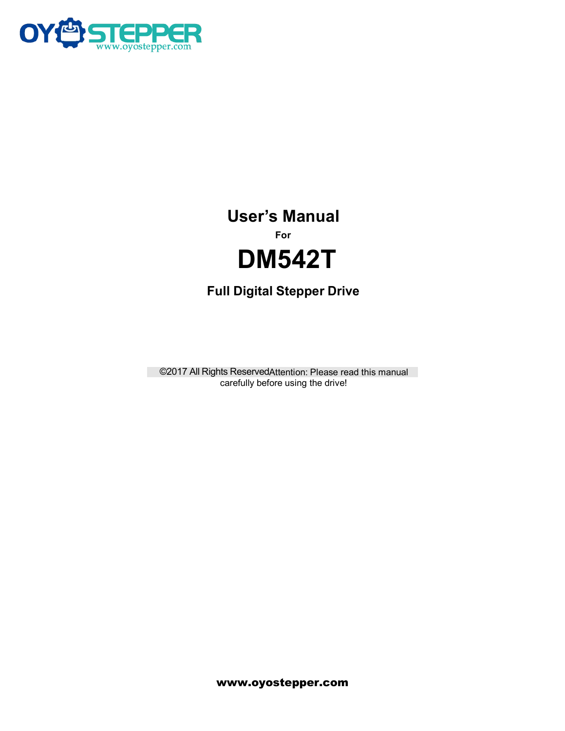

# User's Manual<br>For<br>**DM542T**<br>Digital Stepper Drive **For User's Manual<br>For**<br>**DM542T**<br>Full Digital Stepper Drive

# **DM542T**

For<br>
Full Digital Stepper Drive<br>
©2017 All Rights ReservedAttention: Please read this manual<br>
carefully before using the drive! **COMMINDITELY OF SAFE III Digital Stepper Drive**<br>In Digital Stepper Drive<br>Interactive using the drive!<br>Carefully before using the drive!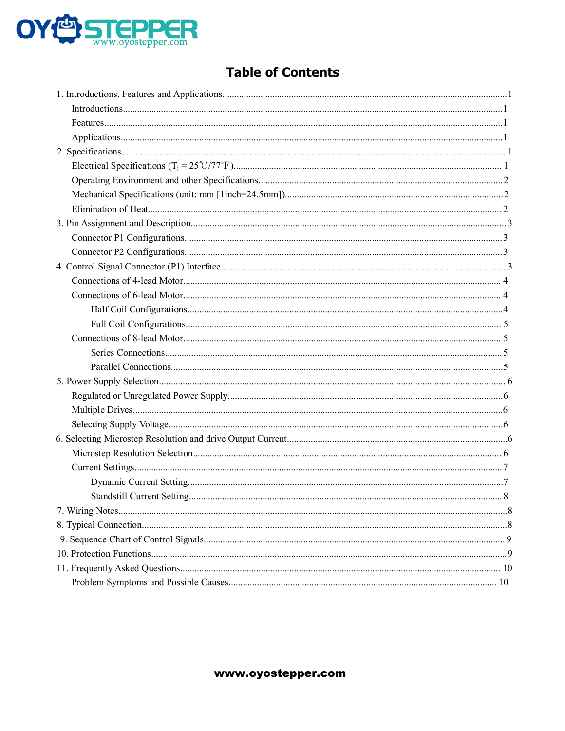

# **Table of Contents**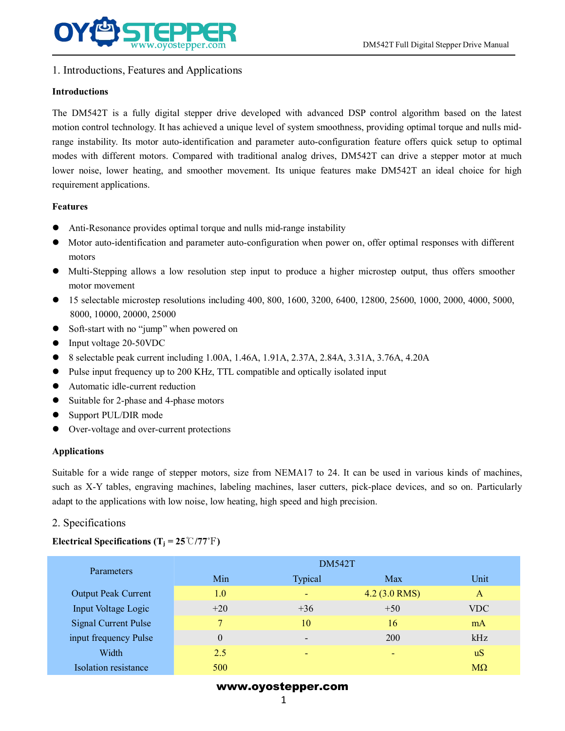

# **Introductions**

THE DM542T Full Digital Stepper Drive Manual<br>1. Introductions, Features and Applications<br>The DM542T is a fully digital stepper drive developed with advanced DSP control algorithm based on the latest<br>motion control technolo motion control technology. It has achieved a unique level oped with advanced DSP control algorithm based on the latest<br>The DM542T is a fully digital stepper drive developed with advanced DSP control algorithm based on the **EXECT IN THE CONSECT IN THE CONSECT THE CONSECT THE CONSECT THE DIMENSION INTO AUTOMOTIVE MANUAL IT INTO AUTOMOTIVE INTO AUTOMOTIVE INTO AUTOMOTIVE INTO AUTOMOTIVE INTO A THE DIMENSION THE DIMENSION FEATURE INTO A COMPARE EXECT MODE COMPRESS WE ARE AN ADDED TO MARK COMPARED UNITED USIGN DEVIDENDING IN INTO MONET THE DM542T is a fully digital stepper drive developed with advanced DSP control algorithm based on the latest motion control tech EXECTMENT IDENTIFUL DEATHER IDENTIFUL DEATHER IDENTIFUL DEATHER IN THE UNISIDE DRIVIDENTIFUL Digital Stepper Drive Manual<br>Introductions<br>The DM542T is a fully digital stepper drive developed with advanced DSP control algor** WWW.oyostepper.com<br>1. Introductions, Features and Applications<br>1. Introductions<br>The DM542T is a fully digital stepper drive de<br>motion control technology. It has achieved a unique<br>range instability. Its motor auto-identific Introductions<br>
The DM542T is a fully digital stepper drive developed with advanced DSP control algorithm bas<br>
motion control technology. It has achieved a unique level of system smoothness, providing optimal torque<br>
arrang The DM542T is a fully digital stepper drive developed with advanced DSP control algorithm based on the latest<br>motion control technology. It has achieved a unique level of system smoothness, providing optimal torque and nul motion control technology. It has a<br>chrowed a unique level of system smoothness, providing optimal torque and nuis microsteps<br>are instability. Its motor auto-cidentification and parameter auto-configuration feature offers e instability. Its motor atto-loantification and<br>es with different motors. Compared with tr<br>pr noise, lower heating, and smoother mov<br>irement applications.<br>tures<br>Anti-Resonance provides optimal torque and<br>Motor auto-identi 16 mouses with direct motors. Compared with radiuonal analog drives, DM3421 can drive a stepper motor at much<br>clower noise, lower heating, and smoother movement. Its unique features make DM542T an ideal choice for high<br>req

# **Features**

- 
- motors Fr noise, lower heating, and smoother movement. Its unificement applications.<br> **arres**<br>
Anti-Resonance provides optimal torque and nulls mid-range<br>
Motor auto-identification and parameter auto-configuration<br>
motors<br>
Multi-Features<br>
■ Anti-Resonance provides optimal torque and nulls mid-range instability<br>
■ Motor auto-identification and parameter auto-configuration when power on, off<br>
motors<br>
■ Multi-Stepping allows a low resolution step in ■ Anti-Resonance provides optimal torque and nulls mid-<br>
■ Motor auto-identification and parameter auto-configurat<br>
■ Multi-Stepping allows a low resolution step input to<br>
■ Multi-Stepping allows a low resolution step inp <ul>\n<li> Anti-Resonance provides optimal torque and nulls mid-range instability</li>\n<li> Motor auto-identification and parameter auto-configuration when power on, offer optimal responses with different motors</li>\n<li> Multi-Stepping allows a low resolution step input to produce a higher microstep output, thus offers smoother motor movement</li>\n<li>Is selectedble microstep resolutions including 400, 800, 1600, 3200, 6400, 12800, 25600, 1000, 2000, 4000, 5000, 8000, 10000, 20000, 25000</li>\n<li>Soft-start with no "jump" when powered on</li>\n<li>Input voltage 20-50VDC</li>\n<li>8 selectedble peak ■ Anu-resonance provides optimal torque and nutris mu-lange instability<br>
■ Motor auto-identification and parameter auto-configuration when power on, offer optimal responses with different<br>
motors<br>
■ Multi-Stepping allows
- 
- Motor auto-loantification and parameter auto-configuration w<br>
motors<br>
 Multi-Stepping allows a low resolution step input to produ<br>
motor movement<br>
 15 selectable microstep resolutions including 400, 800, 1600,<br>
8000, ■ Multi-Stepping allows a low resolution step input to produce a high<br>motor movement<br>
■ 15 selectable microstep resolutions including 400, 800, 1600, 3200, 64<br>
8000, 10000, 20000, 25000<br>
■ Soft-start with no "jump" when p ■ Multi-Stepping allows a low resolution step input to p<br>motor movement<br>
■ 15 selectable microstep resolutions including 400, 800, 1<br>
8000, 10000, 20000, 25000<br>
■ Soft-start with no "jump" when powered on<br>
■ Input voltage ■ 15 selectable microstep resolutions including 400, 800, 1600, 3200, 8000, 10000, 20000, 25000<br>
■ Soft-start with no "jump" when powered on<br>
■ Input voltage 20-50VDC<br>
■ Selectable peak current including 1.00A, 1.46A, 1.9
- 
- 
- 
- 
- 
- 
- 
- 

# **Applications**

Suitable for a wide range of stepper motors, size from NEMA17 to 24. It can be used in various kinds of machines,<br>Supervisting for a wide range of stepper motors, size from NEMA17 to 24. It can be used in various kinds of ■ mput votage 20-50 VDC<br>
■ Selectable peak current including 1.00A, 1.46A, 1.91A, 2.37A, 2.84A, 3.31A, 3.76A, 4.20A<br>
■ Pulse input frequency up to 200 KHz, TTL compatible and optically isolated input<br>
■ Automatic ide-curr Seieclable peak current including 1.00A, 1.40A, 1.91A, 2.37A, 2.84A, 3.31A, 3.76A, 4.20A<br>
Pulse input frequency up to 200 KHz, TTL compatible and optically isolated input<br>
Automatic idle-current reduction<br>
Suitable for 2-• Selectable peak current including 1.00A,<br>
• Pulse input frequency up to 200 KHz, TTL<br>
• Automatic idle-current reduction<br>
• Suitable for 2-phase and 4-phase motors<br>
• Over-voltage and over-current protections<br>
Applicati ■ Suitable for 2-phase and 4-phase motors<br>
■ Support PUL/DIR mode<br>
■ Over-voltage and over-current protections<br>
Applications<br>
Suitable for a wide range of stepper motors, size from NEMA17 to<br>
such as X-Y tables, engravin

| pplications.                                                                                                                                                                                                                                                                                                                     |          |                    |                 |              |
|----------------------------------------------------------------------------------------------------------------------------------------------------------------------------------------------------------------------------------------------------------------------------------------------------------------------------------|----------|--------------------|-----------------|--------------|
| uitable for a wide range of stepper motors, size from NEMA17 to 24. It can be used in various kinds of machines,<br>ach as X-Y tables, engraving machines, labeling machines, laser cutters, pick-place devices, and so on. Particularly<br>dapt to the applications with low noise, low heating, high speed and high precision. |          |                    |                 |              |
| . Specifications                                                                                                                                                                                                                                                                                                                 |          |                    |                 |              |
| lectrical Specifications (T <sub>i</sub> = 25 <sup>°</sup> C/77 <sup>°</sup> F)                                                                                                                                                                                                                                                  |          |                    |                 |              |
|                                                                                                                                                                                                                                                                                                                                  |          | <b>DM542T</b>      |                 |              |
| Parameters                                                                                                                                                                                                                                                                                                                       | Min      | Typical            | Max             | Unit         |
| <b>Output Peak Current</b>                                                                                                                                                                                                                                                                                                       | 1.0      |                    | $4.2$ (3.0 RMS) | $\mathbf{A}$ |
| <b>Input Voltage Logic</b>                                                                                                                                                                                                                                                                                                       | $+20$    | $+36$              | $+50$           | <b>VDC</b>   |
| <b>Signal Current Pulse</b>                                                                                                                                                                                                                                                                                                      | 7        | 10                 | 16              | mA           |
| input frequency Pulse                                                                                                                                                                                                                                                                                                            | $\theta$ |                    | 200             | kHz          |
| Width                                                                                                                                                                                                                                                                                                                            | 2.5      |                    |                 | uS           |
| Isolation resistance                                                                                                                                                                                                                                                                                                             | 500      |                    |                 | $M\Omega$    |
|                                                                                                                                                                                                                                                                                                                                  |          | www.oyostepper.com |                 |              |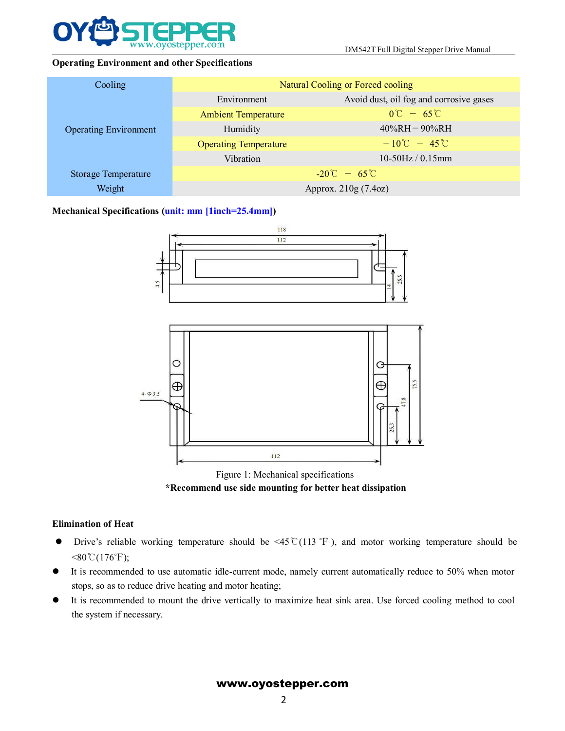

|                                                       |                                            | DM542T Full Digital Stepper Drive Manual |  |
|-------------------------------------------------------|--------------------------------------------|------------------------------------------|--|
| <b>Operating Environment and other Specifications</b> |                                            |                                          |  |
| Cooling                                               | Natural Cooling or Forced cooling          |                                          |  |
|                                                       | Environment                                | Avoid dust, oil fog and corrosive gases  |  |
|                                                       | <b>Ambient Temperature</b>                 | $0^{\circ}C - 65^{\circ}C$               |  |
| <b>Operating Environment</b>                          | Humidity                                   | $40\%RH - 90\%RH$                        |  |
|                                                       | <b>Operating Temperature</b>               | $-10^{\circ}$ C $-45^{\circ}$ C          |  |
|                                                       | Vibration                                  | 10-50Hz / 0.15mm                         |  |
| <b>Storage Temperature</b>                            | $-20^{\circ}\text{C} - 65^{\circ}\text{C}$ |                                          |  |
| Weight                                                | Approx. 210g (7.4oz)                       |                                          |  |
| Mechanical Specifications (unit: mm [1inch=25.4mm])   |                                            |                                          |  |
|                                                       | 118                                        |                                          |  |
|                                                       | 112                                        |                                          |  |
|                                                       |                                            |                                          |  |



- $< 80\degree C(176\degree F);$ Figure 1: Mechanical specifications<br> **Stops, Stops, Stops, Stops, Stops, Stops, Stops, Stops, Stops, Stops, Stops, Stops, Stops, Stops, Stops, Stops, Stops, Stops, Stops, Stops, Stops, Stops, Stops, Stops, Stops, Stops, S INTERT ACCOMMUNIMELERT SETTER CONTROLLERT SETTEM SETTEM SETTEM SETTEM SETTEM SETTEM SETTEM SETTEM SETTEM SETTEM SETTEM SETTEM SETTEM SETTEM SETTEM SETTEM SETTEM SETTEM SETTEM SETTEM SETTEM SETTEM SETTEM SINC VALUE AT A S** Figure 1: Mech<br>
\***Recommend use side movel \***<br> **Recommend use side movel with the system if necessary.**<br>
It is recommended to use automatic idle-current movel<br>
It is recommended to use automatic idle-current movel<br>
It is
- 
-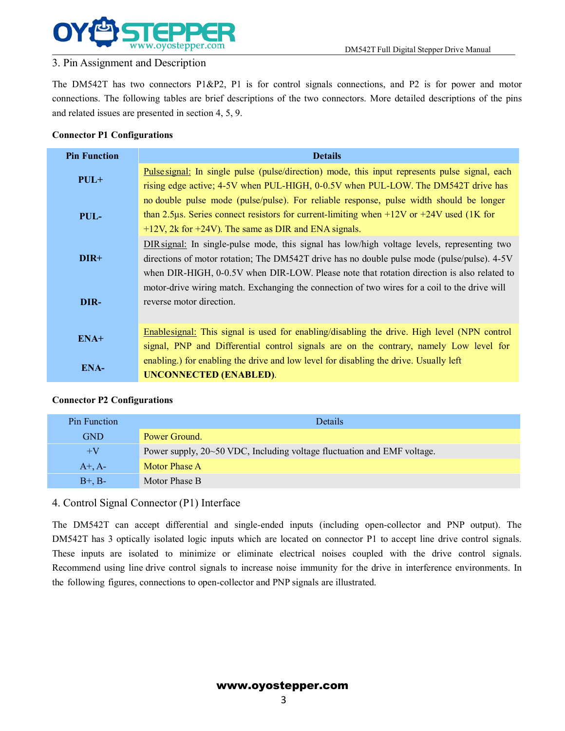

DM542T Full Digital Stepper Drive Manual<br>nections, and P2 is for power and motor **STEPPER**<br>3.Pin Assignment and Description<br>The DM542T has two connectors P1&P2, P1 is for control signa<br>connections. The following tables are brief descriptions of the two c<br>and related issues are presented in section 4, The DM542T has two connectors P1&P2, P1 is for control signals connections, and P2 is for power and motor connections. The following tables are brief descriptions of the two connectors. More detailed descriptions of the pi CONCONNECTED DECREATED DISAST Full Digital Stepper Drive Manual<br>3. Pin Assignment and Description<br>The DM542T has two connectors P1&P2, P1 is for control signals connections, and P2 is for power and motor<br>connections. The f **EXECUTE:**<br>
The DM542T has two connectors P1&P2, P1 is for control signals connections.<br>
The DM542T has two connectors P1&P2, P1 is for control signals connections,<br>
connections. The following tables are brief descriptions **CONFIGURER**<br> **CONFIGURER**<br> **CONFIGURER**<br> **CONFIGURER**<br> **CONFIGURER**<br> **CONFIGURER**<br> **CONFIGURER**<br> **CONFIGURER**<br> **CONFIGURER**<br> **CONFIGURER**<br> **CONFIGURER**<br> **CONFIGURER**<br> **CONFIGURER**<br> **CONFIGURER**<br> **CONFIGURER**<br> **CONFIGURER** 

| 3. Pin Assignment and Description  | DM542T Full Digital Stepper Drive Manual                                                                                                                                                                                                                                                 |
|------------------------------------|------------------------------------------------------------------------------------------------------------------------------------------------------------------------------------------------------------------------------------------------------------------------------------------|
|                                    |                                                                                                                                                                                                                                                                                          |
|                                    | The DM542T has two connectors P1&P2, P1 is for control signals connections, and P2 is for power and motor                                                                                                                                                                                |
|                                    | connections. The following tables are brief descriptions of the two connectors. More detailed descriptions of the pins                                                                                                                                                                   |
|                                    | and related issues are presented in section 4, 5, 9.                                                                                                                                                                                                                                     |
| <b>Connector P1 Configurations</b> |                                                                                                                                                                                                                                                                                          |
| <b>Pin Function</b>                | <b>Details</b>                                                                                                                                                                                                                                                                           |
| $PUL+$                             | Pulse signal: In single pulse (pulse/direction) mode, this input represents pulse signal, each<br>rising edge active; 4-5V when PUL-HIGH, 0-0.5V when PUL-LOW. The DM542T drive has                                                                                                      |
| PUL-                               | no double pulse mode (pulse/pulse). For reliable response, pulse width should be longer<br>than 2.5µs. Series connect resistors for current-limiting when +12V or +24V used (1K for<br>$+12V$ , 2k for $+24V$ ). The same as DIR and ENA signals.                                        |
| DIR+                               | DIR signal: In single-pulse mode, this signal has low/high voltage levels, representing two<br>directions of motor rotation; The DM542T drive has no double pulse mode (pulse/pulse). 4-5V<br>when DIR-HIGH, 0-0.5V when DIR-LOW. Please note that rotation direction is also related to |
| DIR-                               | motor-drive wiring match. Exchanging the connection of two wires for a coil to the drive will<br>reverse motor direction.                                                                                                                                                                |
| ENA+                               | Enablesignal: This signal is used for enabling/disabling the drive. High level (NPN control<br>signal, PNP and Differential control signals are on the contrary, namely Low level for                                                                                                    |
| ENA-                               | enabling.) for enabling the drive and low level for disabling the drive. Usually left<br><b>UNCONNECTED (ENABLED).</b>                                                                                                                                                                   |
| <b>Connector P2 Configurations</b> |                                                                                                                                                                                                                                                                                          |
| <b>Pin Function</b>                | Details                                                                                                                                                                                                                                                                                  |
| <b>GND</b>                         | Power Ground.                                                                                                                                                                                                                                                                            |
| $+V$                               | Power supply, 20~50 VDC, Including voltage fluctuation and EMF voltage.                                                                                                                                                                                                                  |
| $A^+, A^-$                         | <b>Motor Phase A</b>                                                                                                                                                                                                                                                                     |
| $B+$ . $B-$                        | Motor Phase B                                                                                                                                                                                                                                                                            |

| ENA+                               | Enablesignal: This signal is used for enabling/disabling the drive. High level (NPN control<br>signal, PNP and Differential control signals are on the contrary, namely Low level for                                                                                                                                                                                                                                                                                                                                                                              |  |  |
|------------------------------------|--------------------------------------------------------------------------------------------------------------------------------------------------------------------------------------------------------------------------------------------------------------------------------------------------------------------------------------------------------------------------------------------------------------------------------------------------------------------------------------------------------------------------------------------------------------------|--|--|
| <b>ENA-</b>                        | enabling.) for enabling the drive and low level for disabling the drive. Usually left<br><b>UNCONNECTED (ENABLED).</b>                                                                                                                                                                                                                                                                                                                                                                                                                                             |  |  |
| <b>Connector P2 Configurations</b> |                                                                                                                                                                                                                                                                                                                                                                                                                                                                                                                                                                    |  |  |
| Pin Function                       | Details                                                                                                                                                                                                                                                                                                                                                                                                                                                                                                                                                            |  |  |
| <b>GND</b>                         | Power Ground.                                                                                                                                                                                                                                                                                                                                                                                                                                                                                                                                                      |  |  |
| $+V$                               | Power supply, 20~50 VDC, Including voltage fluctuation and EMF voltage.                                                                                                                                                                                                                                                                                                                                                                                                                                                                                            |  |  |
| $A^+, A^-$                         | Motor Phase A                                                                                                                                                                                                                                                                                                                                                                                                                                                                                                                                                      |  |  |
| $B^+, B^-$                         | Motor Phase B                                                                                                                                                                                                                                                                                                                                                                                                                                                                                                                                                      |  |  |
|                                    | 4. Control Signal Connector (P1) Interface                                                                                                                                                                                                                                                                                                                                                                                                                                                                                                                         |  |  |
|                                    | The DM542T can accept differential and single-ended inputs (including open-collector and PNP output). The<br>DM542T has 3 optically isolated logic inputs which are located on connector P1 to accept line drive control signals.<br>These inputs are isolated to minimize or eliminate electrical noises coupled with the drive control signals.<br>Recommend using line drive control signals to increase noise immunity for the drive in interference environments. In<br>the following figures, connections to open-collector and PNP signals are illustrated. |  |  |
|                                    |                                                                                                                                                                                                                                                                                                                                                                                                                                                                                                                                                                    |  |  |

Recommend using line drive control signals to increase noise immunity for the drive control Signal Connector (P1) Interface<br>
The DM542T can accept differential and single-ended inputs (including open-collector and PNP outp The Following following voltage fluctuation and EMF voltage.<br>
The Following Following A<br>
H, B-<br>
Motor Phase A<br>
B+, B-<br>
Motor Phase B<br>
4. Control Signal Connector (P1) Interface<br>
The DM542T can accept differential and singl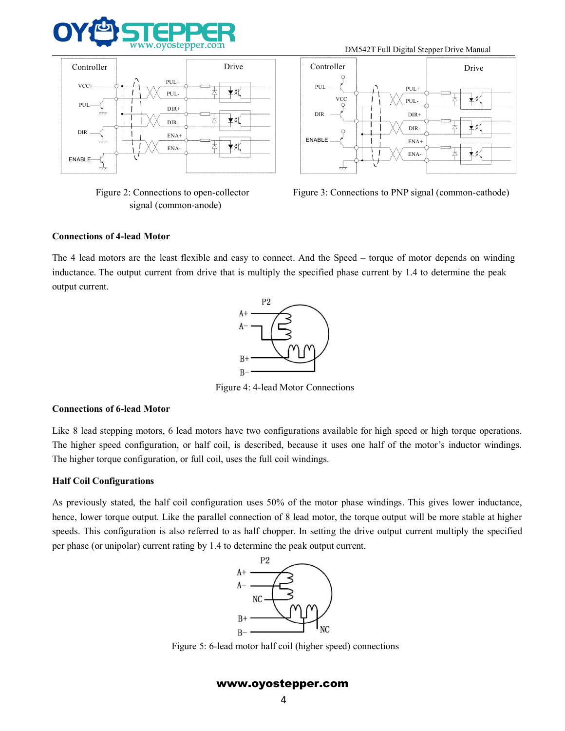







The 4 lead motors are the least flexible and easy to connect. And the Speed – torque of motor depends on winding<br>
enterthing the 4 lead motors are the least flexible and easy to connect. And the Speed – torque of motor de ENABLE  $\frac{1}{\frac{1}{\sqrt{1-\frac{1}{\sqrt{1-\frac{1}{\sqrt{1-\frac{1}{\sqrt{1-\frac{1}{\sqrt{1-\frac{1}{\sqrt{1-\frac{1}{\sqrt{1-\frac{1}{\sqrt{1-\frac{1}{\sqrt{1-\frac{1}{\sqrt{1-\frac{1}{\sqrt{1-\frac{1}{\sqrt{1-\frac{1}{\sqrt{1-\frac{1}{\sqrt{1-\frac{1}{\sqrt{1-\frac{1}{\sqrt{1-\frac{1}{\sqrt{1-\frac{1}{\sqrt{1-\frac{1}{\sqrt{1-\frac{1}{\sqrt{1-\frac{1}{\sqrt{1-\frac{1}{\sqrt{1-\frac{1}{\sqrt{1-\$ ENABLE<br>
Figure 2: Connections to open-coll<br>
signal (common-anode)<br>
Connections of 4-lead Motor<br>
The 4 lead motors are the least flexible and<br>
inductance. The output current from drive that<br>
output current. and easy to connect. And the Speed – torque of motor deper<br>
that is multiply the specified phase current by 1.4 to determ<br>  $A +$ <br>  $A -$ <br>  $B +$ <br>  $B -$ <br>
Figure 4: 4-lead Motor Connections<br>
Figure 4: 4-lead Motor Connections<br>
Fi



inductance. The output current from drive that is multiply the<br>
output current.<br>
P2<br>  $A + C$ <br>  $B + C$ <br>  $B + C$ <br>
Figure 4: 4-lead Mo<br>
Connections of 6-lead Motor<br>
Like 8 lead stepping motors, 6 lead motors have two configuration Connections of 6-lead Motor<br>
B+<br>  $A + \frac{P2}{P}$ <br>
Eigure 4: 4-lead Motor Connections<br>
Like 8 lead stepping motors, 6 lead motors have two configurations available for high speed or high torque operations.<br>
The higher torque The higher speed configuration, or half coil, is described, because it uses one half of the motor's inductor windings.<br>The higher speed configuration, or half coil, is described, because it uses one half of the motor's in The higher speed configuration, or half coil, uses the full coil windings.<br>
As previously stated, the half coil configuration uses 50% of the motor phase windings.<br>
As previously stated, the half coil configuration uses 5 <sup>H</sup><br>Figure<br>Connections of 6-lead Motor<br>Like 8 lead stepping motors, 6 lead motors have<br>The higher speed configuration, or half coil, is<br>The higher torque configuration, or full coil, uses<br>**Half Coil Configurations**<br>As prev

Figure 4: 4-lead Motor Connections<br>Figure 4: 4-lead Motor Connections<br>Like 8 lead stepping motors, 6 lead motors have two configurations available for high speed or high torque operations.<br>The higher speed configuration, o Figure 4: 4-lead Motor Connections<br>
Eike 8 lead stepping motors, 6 lead motors have two configurations available for high speed or high torque operations.<br>
The higher speed configuration, or half coil, is described, becaus Figure 4. 4-tead Woold Confiections<br>
Like 8 lead stepping motors, 6 lead motors have two configurations available for high speed or high torque operations.<br>
The higher speed configuration, or half coil, is described, beca **Connections of 6-lead Motor**<br>
Like 8 lead stepping motors, 6 lead motors have two configurations available for high speed or high torque of<br>
The higher speed configuration, or half coil, is described, because it uses one Figure5: 6-lead motor half coil (higher speed) connections<br>
with a speed of the parallel connection of 8 lead motor, the torque output will be more stable at h<br>
also referred to as half chopper. In setting the drive outp

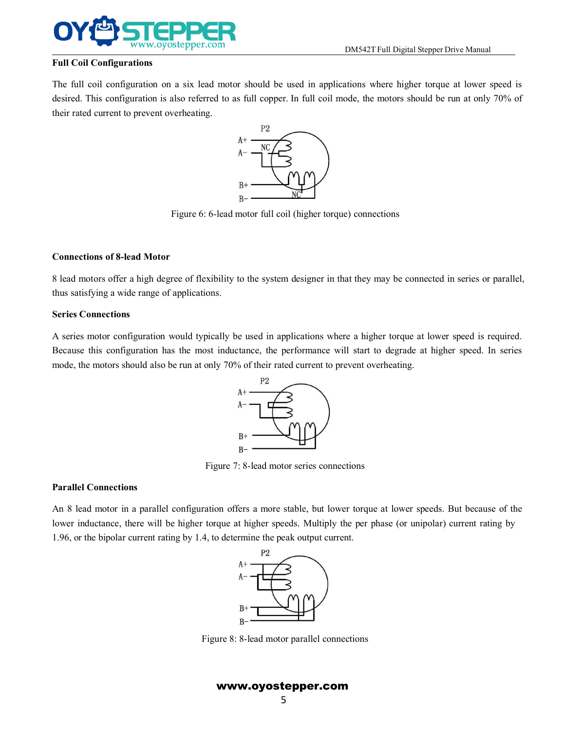

DM542T Full Digital Stepper Drive Manual<br>ations where higher torque at lower speed is The full Coil Configurations<br>The full coil configurations<br>The full coil configuration on a six lead motor should be used in applications where higher torque at lower speed is<br>desired. This configuration is also referred to **EXECUTE:**<br>
Full Coil Configurations<br>
The full coil configuration is also referred to as full copper. In full coil mode, the motors should be run at only 70% of<br>
their rated current to prevent overheating.<br>  $A + \frac{P2}{P}$ **COVIDER**<br>
Full Coil Configurations<br>
The full coil configuration on a six lead motor should be used in<br>
desired. This configuration is also referred to as full copper. In full<br>
their rated current to prevent overheating.<br> a six lead motor should be used in applications where higher torque at lower spe-<br>also referred to as full copper. In full coil mode, the motors should be run at only 70<br>verheating.<br> $A + \frac{P2}{P}$ <br> $A - \frac{NC}{N}$ <br> $B + \frac{NC}{N}$ <br>Fi



**CONFIDENTIFY ASSEMBED ASSEMBLE ASSEMBLE ASSEMBLE ASSEMBLE ASSEMBLE Connections of 8-lead Motor<br>
<b>CONFIDENTIFY ASSEM**<br> **CONFIDENTIFY ASSEMS**<br> **CONFIDENTIFY ASSEMS**<br> **CONFIDENTIFY ASSEMS**<br> **CONFIDENTIFY ASSEMS**<br> **CONFIDENT**  $A + C$ <br>  $B + C$ <br>  $B - C$ <br>
Figure 6: 6-lead motor full coil (higher torque) connections<br>
Connections of 8-lead Motor<br>
8 lead motors offer a high degree of flexibility to the system designer in that they may be connected in seri  $A - \frac{10^{10} \text{ J}}{B + \frac{10^{10} \text{ J}}{C}}$ <br>
Figure 6: 6-lead motor full coil (higher<br>
Connections of 8-lead Motor<br>
8 lead motors offer a high degree of flexibility to the system designer<br>
thus satisfying a wide range of appli

Figure 6: 6-lead<br> **Connections of 8-lead Motor**<br>
8 lead motors offer a high degree of flexibilit<br>
thus satisfying a wide range of applications.<br> **Series Connections**<br>
A series motor configuration would typically<br>
Because t Figure 6: 6-lead motor full coil (higher torque) connections<br>
Connections of 8-lead Motor<br>
8 lead motors offer a high degree of flexibility to the system designer in that they may be connected in series or parallel,<br>
thus Figure 6: 6-lead motor full coil (higher torque) connections<br>
S lead motors of **8-lead Motor**<br>
S lead motors offer a high degree of flexibility to the system designer in that they may be connected in series or parallel,<br> **Connections of 8-lead Motor**<br>
8 lead motors offer a high degree of flexibility to the system designer in that they may be connected in series or parallel<br>
thus satisfying a wide range of applications.<br> **Series Connection** bically be used in applications where a higher torque at lower speeds inductance, the performance will start to degrade at higher sp<br>only 70% of their rated current to prevent overheating.<br> $A +$ <br> $A -$ <br> $A -$ <br> $B +$ <br> $B -$ <br>Figure



Because this configuration has the most induced<br>
mode, the motors should also be run at only 70<sup>9</sup><br>
Figure 7<br> **Parallel Connections**<br>
An 8 lead motor in a parallel configuration of<br>
lower inductance, there will be higher t P2<br>
An  $\frac{p_2}{p_1}$ <br>  $\frac{p_3}{p_4}$ <br>  $\frac{p_4}{p_5}$ <br>  $\frac{p_5}{p_6}$ <br>  $\frac{p_6}{p_7}$ <br>  $\frac{p_7}{p_8}$ <br>  $\frac{p_8}{p_9}$ <br>  $\frac{p_9}{p_9}$ <br>  $\frac{p_1}{p_9}$ <br>  $\frac{p_1}{p_9}$ <br>  $\frac{p_1}{p_9}$ <br>  $\frac{p_1}{p_9}$ <br>  $\frac{p_2}{p_9}$ <br>  $\frac{p_3}{p_9}$ <br>  $\frac{$ P<br>  $A + C$ <br>  $A - C$ <br>
B<br>  $B + C$ <br>
B<br>
B<br>
Figure 7: 8-lead motor series connections<br>
An 8 lead motor in a parallel configuration offers a more stable, but lower torque at lower speeds. But because of the<br>
lower inductance, there w Parallel Connections<br>
Parallel Connections<br>
An 8 lead motor in a parallel configuration offers a more stable, but lower torque at lower speeds. But be<br>
lower inductance, there will be higher torque at higher speeds. Multi Figure 8: 8-lead motor parallel connections<br>
Number of the parallel connections<br>  $B +$ <br>  $B -$ <br>
Figure 8: 8-lead motor parallel connections<br>
Number of the parallel connections<br>
Number of the parallel connections<br>
Number of t

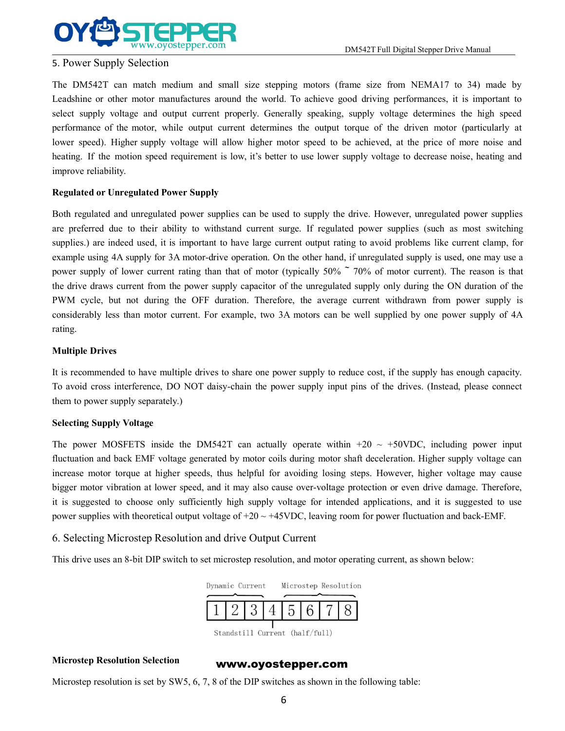

DM542T Full Digital Stepper Drive Manual<br>ame size from NEMA17 to 34) made by EXTREMENTARY WWW.oyostepper.com<br>
5. Power Supply Selection<br>
The DM542T can match medium and small size stepping<br>
Leadshine or other motor manufactures around the world. To<br>
select supply voltage and output current properly THEDM542T can match medium and small size stepping motors (frame size from NEMA17 to 34) made by<br>
Leadshine or other motor manufactures around the world. To achieve good driving performances, it is important to<br>
select su Leadshine or other motor manufactures around the world. To achieve good driving performances, it is important to Solutionary of the DNS42T Full Digital Stepper Drive Manual<br>
S. Power Supply Selection<br>
The DMS42T can match medium and small size stepping motors (frame size from NEMA17 to 34) made by<br>
Leadshine or other motor manufactur performance of the motor, while output current determines the output current of the motor, has been the motor manufactures around the world. To achieve good driving performances, it is important to select supply voltage an **EXECT SURFER SET SURFER SURFER SURFER SURFER SURFER SURFERENT SURFERENT SURFERENT SURFERENT SURFERENT SURFERENT SURFERENT SURFERENT SURFERENT SURFERENT SURFERENT SURFERENT SURFERENT SURFERENT SURFERENT SURFERENT SURFERENT EXECT AND THE MONE CONSECT AND THE MONE CONSECTED THE MONE OF THE MONE OF THE MONE CONSECTED THE MONE OF THE MONE CONSECTED THE MONET CONSECTED THE MONET CONSECTED THE MONET CONSECTED IN THE USE OF THE MONET CONSECTED SPE** S. Power Supply Selection<br>The DM542T can match medium and small<br>Leadshine or other motor manufactures aroun<br>select supply voltage and output current pro<br>performance of the motor, while output curre<br>lower speed). Higher sup **FREE 15 THE CONSECT SUPPLE THE SUPPLE SET ASSEMUST THE DM542T can match medium and small size stepping motors (Leadshine or other motor manufactures around the world. To achieve select supply voltage and output current pr** The DM542T can match medium and small size stepping motors (frame size from NEMA17 to 34) made by Leadshine or other motor manufactures around the world. To achieve good driving performances, it is important to select supp The DM3421 can match meatum and small size stepping motors (trame size from NEMAT/ to 34) made by<br>Leadshine or other motor manufactures around the world. To achieve good driving performances, it is important to<br>select supp

Leadismine or other motor manufactures around the word. To achieve good driving performances, it is important to select apply voltage of the motor, while output current preperly. Generally speaking, supply voltage determi select supply voltage and output current properly. Generally speaking, supply voltage determines the ingit speed<br>porformance of the motor, while output current determines the output torque of the driven motor (particularly performance of the motor, while output current determines the output torque of the dirven motor (particularly at<br>lower speed). Higher supply voltage will allow higher motor speed to be achieved, at the price of more noise the drive draws current family bounded with a subsect of the unregulated to be achieved, at the price of more mose and the metallity.<br> **Regulated or Unregulated Power Supply**<br> **Regulated or Unregulated Power Supply**<br> **Regu** neating. It the motion speed requirement is tow, it's better to use tower supply vottage to decrease noise, neating and<br>improve reliability.<br>**Regulated or Unregulated Power Supply**<br>Both regulated and unregulated power supp Improve renaonity.<br> **Regulated or Unregulated Power Supply**<br>
Both regulated and unregulated power supplies can be used to supply the drive. However, unregulated power supplies<br>
are preferred due to their ability to withsta rating. Both regulated and unregulated power supplies<br>are preferred due to their ability to withstand<br>supplies.) are indeed used, it is important to ha<br>example using 4A supply for 3A motor-drive op<br>power supply of lower current ra are preterred due to their ability to withstand current surge. It regulated power supplies (suen as most switching<br>supplies.) are indeed used, it is important to have large current output rating to avoid problems like curr suppies.) are maced used, it is important to nave large current output rating to avoid problems like current clamp, for<br>example using 4A supply of 3A motor-drive operation. On the other hand, if unregulated supply is used, example using 4A supply for 3A motor-drive operation. On<br>power supply of lower current rating than that of motor (t<br>the drive draws current from the power supply capacitor of<br>PWM cycle, but not during the OFF duration. The the drive draws current from the power supply capacito<br>
PWM cycle, but not during the OFF duration. Ther<br>
considerably less than motor current. For example, two<br>
rating.<br> **Multiple Drives**<br>
It is recommended to have multip

Figure 1.1 The power supply less than motor current. For example, two 3A motors can be well supplied by one power supply of 4A rating.<br> **Multiple Drives**<br> **Multiple Drives**<br>
It is recommended to have multiple drives to sh considerably less than motor current. For example, two 5A motors can be well supplied by one power supply of 4A<br> **Multiple Drives**<br>
It is recommended to have multiple drives to share one power supply to reduce cost, if th **Multiple Drives**<br>
It is recommended to have multiple drives to share one power supply to reduce cost, if the supply has enough capacity.<br>
To avoid cross interference, DO NOT daisy-chain the power supply input pins of the **Multiple Drives**<br>It is recommended to have multiple drives to share one power supply to reduce cost, if the supply has enough capacity.<br>To avoid cross interference, DO NOT daisy-chain the power supply input pins of the d It is recommended to have multiple drives to share one power supply to reduce cost, if the supply has enough capacity.<br>To avoid cross interference, DO NOT daisy-chain the power supply input pins of the drives. (Instead, p It is recommented to nave mutuple dives to share one power supply to reduce cost, it me supply has enough capacity.<br>To avoid cross interference, DO NOT daisy-chain the power supply input pins of the drives. (Instead, plea It is recommended to have minippe dives to state one power supply to reduce cost, it us supply has<br>To avoid cross interference, DO NOT daisy-chain the power supply input pins of the drives. (Instead<br>them to power supply s Selecting Supply Voltage<br>The power MOSFETS inside the DM542T can actually operate within  $+20 \sim +50$ VDC, including power input<br>fluctuation and back EMF voltage generated by motor coils during motor shaft deceleration. High

# power supplies with theoretical output voltage of  $+20 \sim +45$  v1<br>6. Selecting Microstep Resolution and drive Output Cu<br>This drive uses an 8-bit DIP switch to set microstep resolution<br> $\begin{array}{r} \n\hline\n\text{Dynamic Current} \\
\hline\n\text{Standard 11 Current} \\
\hline\n$

Thisdrive uses an 8-bit DIP switch to set microstep resolution, and motor operating current, as shown below:<br>
This drive uses an 8-bit DIP switch to set microstep resolution, and motor operating current, as shown below:<br>



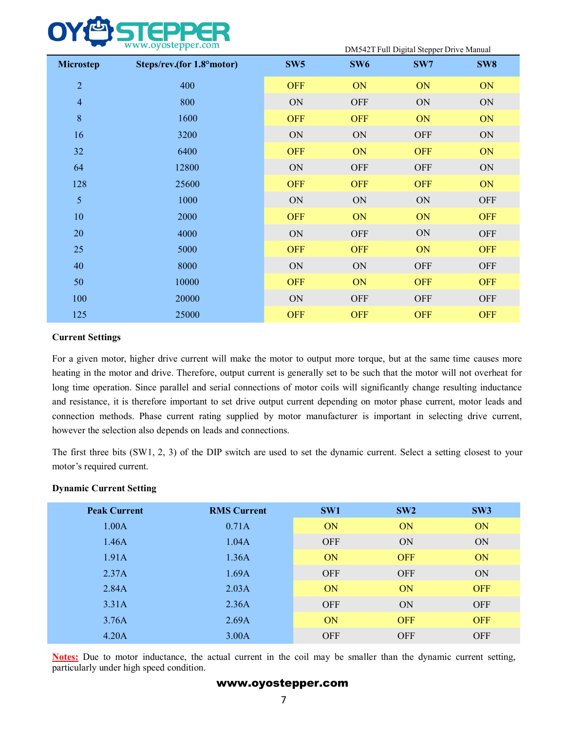|                | www.oyostepper.com        |                 | DM542T Full Digital Stepper Drive Manual |            |                 |  |  |
|----------------|---------------------------|-----------------|------------------------------------------|------------|-----------------|--|--|
| Microstep      | Steps/rev.(for 1.8°motor) | SW <sub>5</sub> | SW <sub>6</sub>                          | SW7        | SW <sub>8</sub> |  |  |
| $\overline{2}$ | 400                       | <b>OFF</b>      | ON                                       | ON         | ON              |  |  |
| $\overline{4}$ | 800                       | ON              | <b>OFF</b>                               | ON         | ON              |  |  |
| $\,8\,$        | 1600                      | <b>OFF</b>      | <b>OFF</b>                               | ON         | ON              |  |  |
| 16             | 3200                      | ON              | ON                                       | <b>OFF</b> | ON              |  |  |
| 32             | 6400                      | <b>OFF</b>      | ON                                       | <b>OFF</b> | ON              |  |  |
| 64             | 12800                     | ON              | <b>OFF</b>                               | <b>OFF</b> | ON              |  |  |
| 128            | 25600                     | <b>OFF</b>      | <b>OFF</b>                               | <b>OFF</b> | ON              |  |  |
| 5 <sup>5</sup> | 1000                      | ON              | $\mbox{ON}$                              | ON         | <b>OFF</b>      |  |  |
| 10             | 2000                      | <b>OFF</b>      | ON                                       | ON         | <b>OFF</b>      |  |  |
| 20             | 4000                      | ON              | <b>OFF</b>                               | ON         | <b>OFF</b>      |  |  |
| 25             | 5000                      | <b>OFF</b>      | <b>OFF</b>                               | ON         | <b>OFF</b>      |  |  |
| 40             | 8000                      | ON              | $\mbox{ON}$                              | <b>OFF</b> | <b>OFF</b>      |  |  |
| 50             | 10000                     | <b>OFF</b>      | ON                                       | <b>OFF</b> | <b>OFF</b>      |  |  |
| 100            | 20000                     | ON              | <b>OFF</b>                               | <b>OFF</b> | <b>OFF</b>      |  |  |
| 125            | 25000                     | <b>OFF</b>      | <b>OFF</b>                               | <b>OFF</b> | <b>OFF</b>      |  |  |
|                |                           |                 |                                          |            |                 |  |  |

25 5000 **OFF OFF OFF OFF OFF OFF** OFF OFF OFF S0 10000 ON ON OFF OFF OFF OFF OFF 125 25000 ON OFF OFF OFF OFF OFF Current Settings For a given motor, higher drive current will make the motor to output more torque, but at t and resistance, it is therefore important to set drive output current depending on motor phase current, motor leads and 50 10000 10000 10 OFF 10 20000 10 OFF 10 20000 10 OFF OFF OFF 125 25000 2000 DN OFF OFF OFF OFF OFF OFF Current Settings<br>
For a given motor, higher drive current will make the motor to output more torque, but at the same t however the selection also depends on leads and connections. The first three bits (SW1, 2, 3) of the DIP switch are used to set the dynamic current. Select a setting closest to your **Current Settings**<br>For a given motor, higher drive current will make the<br>heating in the motor and drive. Therefore, output curre<br>long time operation. Since parallel and serial connectio<br>and resistance, it is therefore impo For a given motor, higher drive current will make the m<br>heating in the motor and drive. Therefore, output current<br>long time operation. Since parallel and serial connections<br>and resistance, it is therefore important to set **Peak Current**<br> **Peak Current**<br> **Peak Current**<br> **RMS Current**<br> **Peak Current**<br> **RMS Current**<br> **Peak Current**<br> **Peak Current**<br> **Peak Current**<br> **Peak Current**<br> **Peak Current**<br> **Peak Current**<br> **RMS Current**<br> **Peak Current**<br>

| <b>Peak Current</b>                                                                                                                                                | <b>RMS Current</b> | SW1        | SW2        | SW <sub>3</sub> |
|--------------------------------------------------------------------------------------------------------------------------------------------------------------------|--------------------|------------|------------|-----------------|
| 1.00A                                                                                                                                                              | 0.71A              | ON         | ON         | ON              |
| 1.46A                                                                                                                                                              | 1.04A              | <b>OFF</b> | ON         | ON              |
| 1.91A                                                                                                                                                              | 1.36A              | ON         | <b>OFF</b> | ON              |
| 2.37A                                                                                                                                                              | 1.69A              | <b>OFF</b> | <b>OFF</b> | ON              |
| 2.84A                                                                                                                                                              | 2.03A              | ON         | ON         | <b>OFF</b>      |
| 3.31A                                                                                                                                                              | 2.36A              | <b>OFF</b> | ON         | <b>OFF</b>      |
| 3.76A                                                                                                                                                              | 2.69A              | ON         | <b>OFF</b> | <b>OFF</b>      |
| 4.20A                                                                                                                                                              | 3.00A              | <b>OFF</b> | <b>OFF</b> | <b>OFF</b>      |
| <b>Notes:</b> Due to motor inductance, the actual current in the coil may be smaller than the dynamic current setting,<br>particularly under high speed condition. |                    |            |            |                 |
|                                                                                                                                                                    | www.oyostepper.com |            |            |                 |
|                                                                                                                                                                    | 7                  |            |            |                 |
|                                                                                                                                                                    |                    |            |            |                 |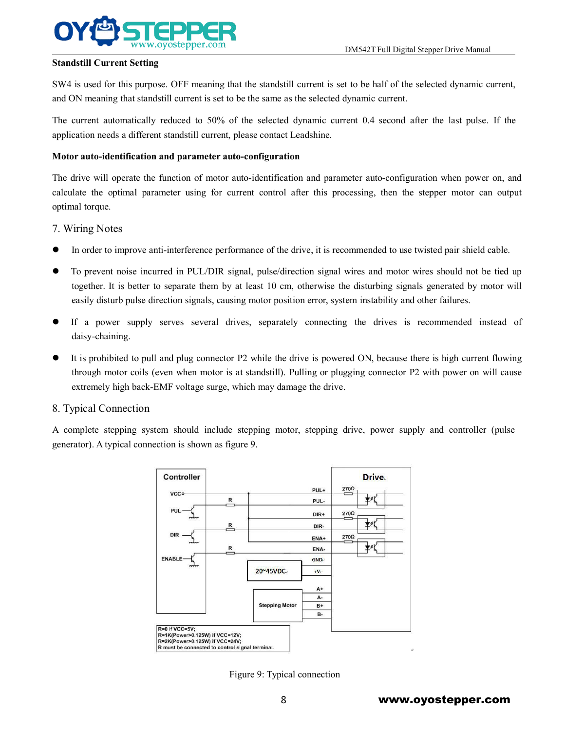

DM542T Full Digital Stepper Drive Manual<br>t to be half of the selected dynamic current, STAR ISLAM ISLAM ISLAM ISLAM ISLAM ISLAM ISLAM ISLAM ISLAM ISLAM ISLAM ISLAM ISLAM ISLAM ISLAM ISLAM ISLAM ISLAM ISLAM ISLAM ISLAM ISLAM ISLAM ISLAM ISLAM ISLAM ISLAM ISLAM ISLAM ISLAM ISLAM ISLAM ISLAM ISLAM ISLAM ISLAM I

Band Standstill Current Setting<br>
Standstill Current Setting<br>
SW4 is used for this purpose. OFF meaning that the standstill current is set to be half of the selected dynamic current,<br>
and ON meaning that standstill current The current Setting<br>
Standstill Current Setting<br>
Standstill Current Setting<br>
SW4 is used for this purpose. OFF meaning that the standstill current is set to be half of the selected dynamic current,<br>
and ON meaning that sta Bandstill Current Setting<br>
Standstill Current Setting<br>
SW4 is used for this purpose. OFF meaning that the standstill current is set to be half of the selected<br>
and ON meaning that standstill current is set to be the same a

**MONTAN Standstill Current Setting**<br>
WWW.oyostepper.com<br>
Standstill Current Setting<br>
SW4 is used for this purpose. OFF meaning that the standstill current is set to be half of<br>
and ON meaning that standstill current is set Examples 10 Examples 2014 Universal Control of motor auto-identification and parameter auto-configuration of motor auto-identification and parameter auto-configuration of motor auto-identification and parameter auto-config Example 1.1 The output of this purpose. OFF meaning that the standstill current is set to be half of the selected dynamic current,<br>SW4 is used for this purpose. OFF meaning that the standstill current is set to be half of Standstin Current Setting<br>SW4 is used for this purpose. OFF meaning th<br>and ON meaning that standstill current is set to<br>The current automatically reduced to 50% o<br>application needs a different standstill current,<br>Motor aut Standstin Current setting<br>
SW4 is used for this purpose. OFF meaning that the stand<br>
and ON meaning that standstill current is set to be the sa<br>
The current automatically reduced to 50% of the sel<br>
application needs a diff The current automatically reduced to 50% of the selected dynamic current 0.4 second after the last pulse. If the application needs a different standstill current, please contact Leadshine.<br> **Motor auto-identification and p** deplication needs a different standstill current, please contact Leadshine.<br>
The drive will operate the function of motor auto-identification and parameter auto-configuration when power on, and<br>
calculate the optimal para The value of the function and parameter auto-configuration<br>The value of the point of motor and parameter auto-configuration when power on, and<br>altate the optimal parameter using for current control after this processing, t Frauto-interation and parameter auto-comiguration<br>dirive will operate the function of motor auto-identification and parameter auto-configuration when power on, and<br>late the optimal parameter using for current control after

- 
- 
- If a power supply serves several drives, separately connecting the drives is recommended instead of the pottom of the drive, it is recommended to use twisted pair shield cable.<br>
 To prevent noise incurred in PUL/DIR signa
- daisy-chaining.
- T. Wiring Notes<br>
 In order to improve anti-interference performance of the drive, it is recommended to use twisted pair shield cable.<br>
 To prevent noise incurred in PUL/DIR signal, pulse/direction signal wires and moto In order to improve anti-interference performance of the drive, it is recommended to use twisted pair shield cable.<br>To prevent noise incurred in PUL/DIR signal, pulse/direction signal wires and motor wires should not be ti In order to improve anti-interference performance of the drive, it is recommended to use twisted pair ship To prevent noise incurred in PUL/DIR signal, pulse/direction signal wires and motor wires should not together. It i ■ In order to improve anti-interference performance on<br>
To prevent noise incurred in PUL/DIR signal, pul-<br>
together. It is better to separate them by at least 1<br>
easily disturb pulse direction signals, causing motor<br>
■ If A complete stepping system should include stepping motor, stepping drive, power supply and controller (pulse<br>
The a power supply serves several drives, separately connecting the drives is recommended instead of<br>
A complete • If a power supply serves several drives, separately connecting the drives<br>
daisy-chaining.<br>
• It is prohibited to pull and plug connector P2 while the drive is powered ON, because<br>
through motor coils (even when motor i

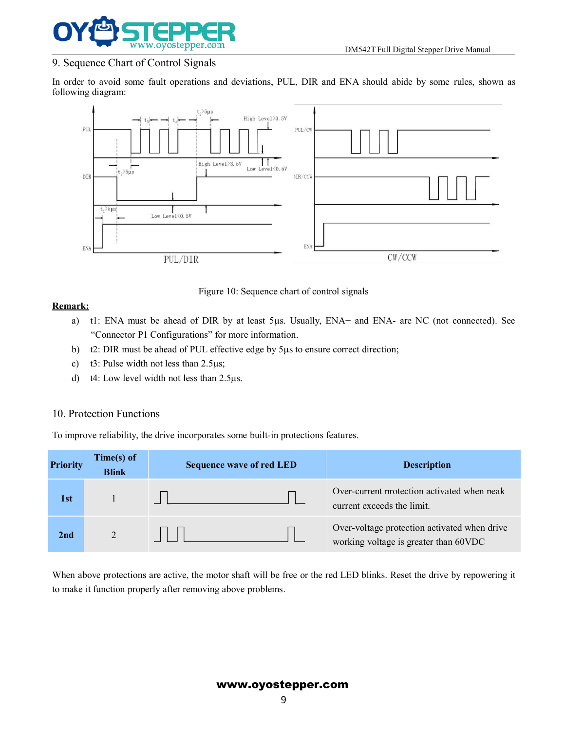

DM542T Full Digital Stepper Drive Manual



# **Remark:**

- PUL/DIR<br>
Figure 10: Sequence ch<br>
Remark:<br>
a) tl: ENA must be ahead of DIR by at least 5µs.<br>
"Connector P1 Configurations" for more information<br>
b) t2: DIR must be ahead of PUL effective edge by 5µ<br>
c) t3: Pulse width not l
	-
	-
	-

|                 |                            | Figure TO. Sequence chart of control signals                                       |                                                                                                  |
|-----------------|----------------------------|------------------------------------------------------------------------------------|--------------------------------------------------------------------------------------------------|
| <b>Remark:</b>  |                            |                                                                                    |                                                                                                  |
| a)              |                            |                                                                                    | t1: ENA must be ahead of DIR by at least 5µs. Usually, ENA+ and ENA- are NC (not connected). See |
|                 |                            | "Connector P1 Configurations" for more information.                                |                                                                                                  |
| b)              |                            | t2: DIR must be ahead of PUL effective edge by 5µs to ensure correct direction;    |                                                                                                  |
| c)              |                            | t3: Pulse width not less than $2.5\mu s$ ;                                         |                                                                                                  |
| $\mathbf{d}$    |                            | t4: Low level width not less than $2.5\mu s$ .                                     |                                                                                                  |
|                 | 10. Protection Functions   |                                                                                    |                                                                                                  |
|                 |                            | To improve reliability, the drive incorporates some built-in protections features. |                                                                                                  |
| <b>Priority</b> | Time(s) of<br><b>Blink</b> | <b>Sequence wave of red LED</b>                                                    | <b>Description</b>                                                                               |
|                 |                            |                                                                                    |                                                                                                  |
| 1st             | $\mathbf{1}$               |                                                                                    | Over-current protection activated when peak<br>current exceeds the limit.                        |
| 2nd             | $\overline{2}$             |                                                                                    | Over-voltage protection activated when drive<br>working voltage is greater than 60VDC            |